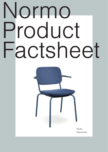# Normo Product Factsheet



Studio Ganszyniec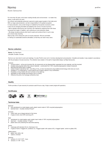For more than 30 years, we've been creating friendly work environments – no matter how, where, or with whom you work.

Our refined, technologically advanced, ergonomic seats support people in their daily work. With our large-scale production, we feel a responsibility for the global ecosystem.

In mass production, every small change is multiplied by thousands of products, which is why we are changing old habits and adapting new norms of circular economy.

– We're radically reducing the use of primary raw materials by replacing them with those recovered from waste. In addition, we're reducing our own production waste.

– We design durable products which last for years and construct them in such a way as to ensure easy recycling.

Step by step, we're closing the cycle of circular production. We are committed to making our sustainable solutions affordable, so that they can reach many users.



# Normo collection

Normo. Our New Norm. (Versatile, Durable, Circular)

Normo is our new chair for work and meetings. It is also Profim's new norm in furniture development and production. Versatile and durable, it was created in accordance with the principles of circular economy. The collection was created, in the spirit of responsible design, by Maja Ganszyniec.

### Features:

- Circular product at the end of product life, all components can be disassembled, separated into raw materials, and fully recycled.
- Created using recycled rather than natural materials constructed from 100% recycled polypropylene instead of plywood.
- Manufactured without glue or staples.
- Carbon footprint reduced by half only 28 kg of CO<sub>2</sub> (a chair manufactured using traditional technology emits twice as much).
- Available in 12 configurations: 4 frame options and 3 support options in any combination.
- Possibility to hang models with short armrest on the desk top.
- Stackable for easy storage and transport (up to 4 chairs).
- Offered at the price of an average conference chair.

# **Quality**

Profim provides a 5-year warranty for products used 8 hours a day, 5 days a week (single shift operation).

# **Certificates**





# Technical data

# Backrest:

- fully upholstered (no metal staples used), plastic inserts made of 100% recycled polypropylene
- backrest foam moulded, density 90 kg/m<sup>3</sup>

# Armrests:

- metal, fixed, as an integral element of the frame
- 2 types of arms: short (SP) and long (LP)

### Seat:

- upholstered (no metal staples used), plastic insert made of 100% recycled polypropylene
- seat foam moulded, density 115 kg/m<sup>3</sup>
- plastic seat cover protecting the seat while stacking.

Frame:

- metal pipe with diameter 20 mm, thickness 2 mm
- 4 types of frame: 4-legged (H), cantilever (V), 4-legged 'spider' with castors (HC), 4-legged 'spider', swivel on glides (HS)

# Glides/castors:

- glides: hard, teflon, felt
- castors: universal

# Stacking:

- versions: H, H LP, H SP 4 pcs.
- versions: V, V SP 4 pcs.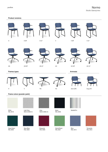